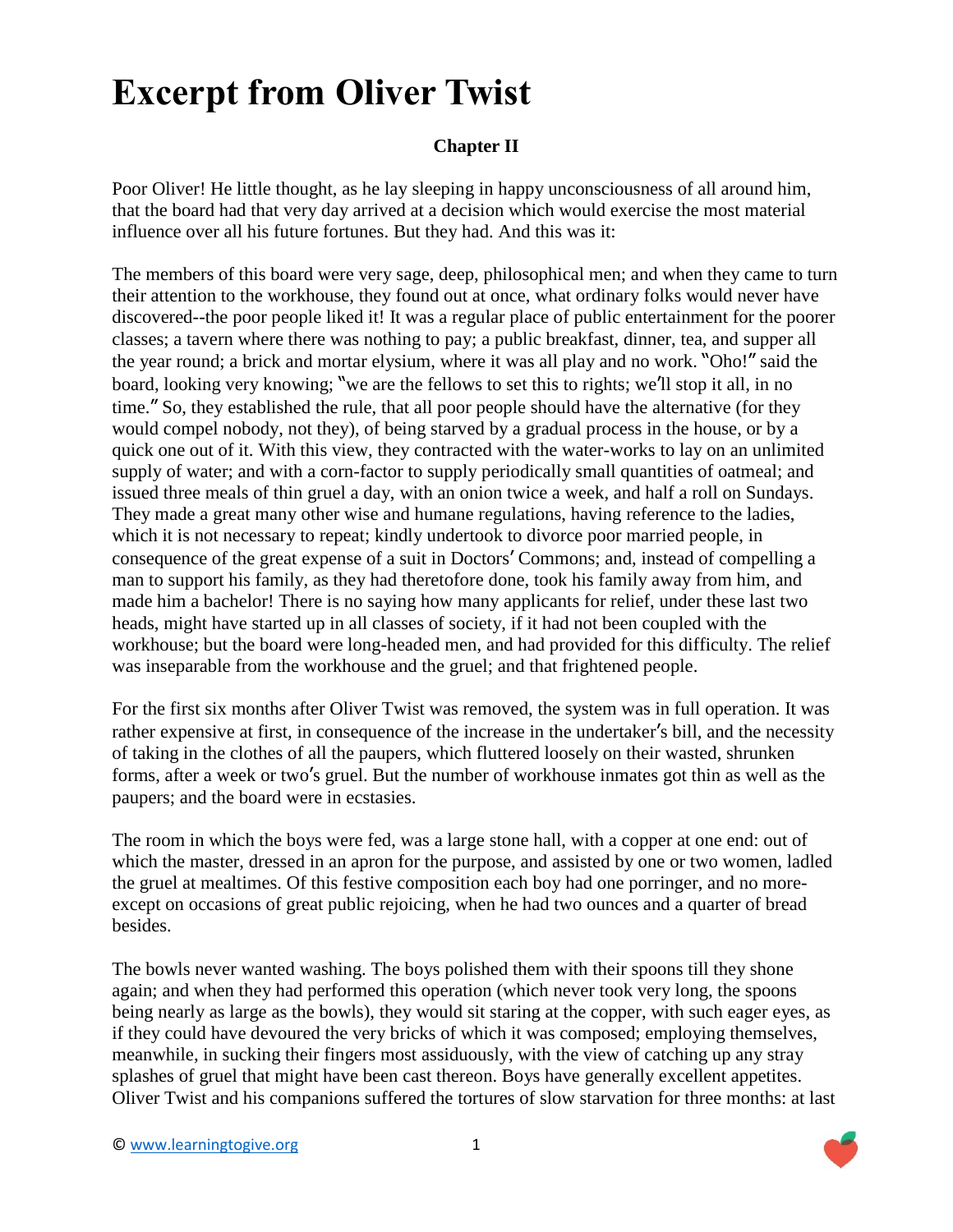## **Excerpt from Oliver Twist**

## **Chapter II**

Poor Oliver! He little thought, as he lay sleeping in happy unconsciousness of all around him, that the board had that very day arrived at a decision which would exercise the most material influence over all his future fortunes. But they had. And this was it:

The members of this board were very sage, deep, philosophical men; and when they came to turn their attention to the workhouse, they found out at once, what ordinary folks would never have discovered--the poor people liked it! It was a regular place of public entertainment for the poorer classes; a tavern where there was nothing to pay; a public breakfast, dinner, tea, and supper all the year round; a brick and mortar elysium, where it was all play and no work. "Oho!" said the board, looking very knowing; "we are the fellows to set this to rights; we'll stop it all, in no time." So, they established the rule, that all poor people should have the alternative (for they would compel nobody, not they), of being starved by a gradual process in the house, or by a quick one out of it. With this view, they contracted with the water-works to lay on an unlimited supply of water; and with a corn-factor to supply periodically small quantities of oatmeal; and issued three meals of thin gruel a day, with an onion twice a week, and half a roll on Sundays. They made a great many other wise and humane regulations, having reference to the ladies, which it is not necessary to repeat; kindly undertook to divorce poor married people, in consequence of the great expense of a suit in Doctors' Commons; and, instead of compelling a man to support his family, as they had theretofore done, took his family away from him, and made him a bachelor! There is no saying how many applicants for relief, under these last two heads, might have started up in all classes of society, if it had not been coupled with the workhouse; but the board were long-headed men, and had provided for this difficulty. The relief was inseparable from the workhouse and the gruel; and that frightened people.

For the first six months after Oliver Twist was removed, the system was in full operation. It was rather expensive at first, in consequence of the increase in the undertaker's bill, and the necessity of taking in the clothes of all the paupers, which fluttered loosely on their wasted, shrunken forms, after a week or two's gruel. But the number of workhouse inmates got thin as well as the paupers; and the board were in ecstasies.

The room in which the boys were fed, was a large stone hall, with a copper at one end: out of which the master, dressed in an apron for the purpose, and assisted by one or two women, ladled the gruel at mealtimes. Of this festive composition each boy had one porringer, and no moreexcept on occasions of great public rejoicing, when he had two ounces and a quarter of bread besides.

The bowls never wanted washing. The boys polished them with their spoons till they shone again; and when they had performed this operation (which never took very long, the spoons being nearly as large as the bowls), they would sit staring at the copper, with such eager eyes, as if they could have devoured the very bricks of which it was composed; employing themselves, meanwhile, in sucking their fingers most assiduously, with the view of catching up any stray splashes of gruel that might have been cast thereon. Boys have generally excellent appetites. Oliver Twist and his companions suffered the tortures of slow starvation for three months: at last